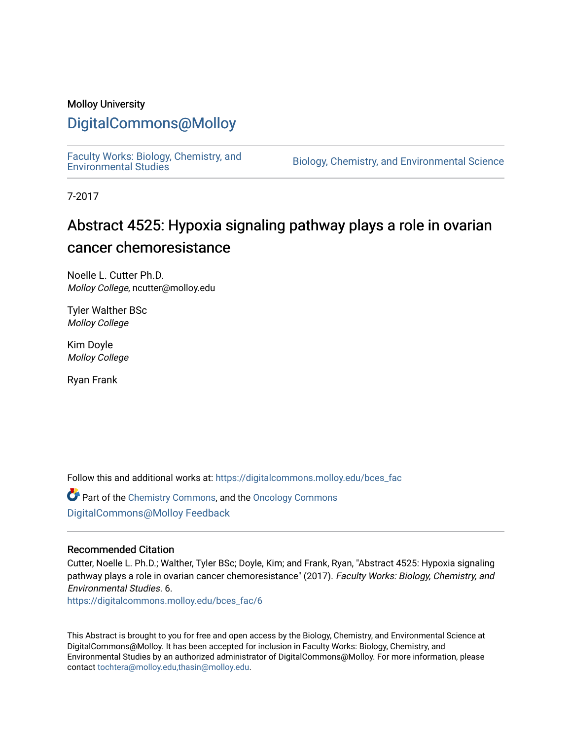### Molloy University

### [DigitalCommons@Molloy](https://digitalcommons.molloy.edu/)

[Faculty Works: Biology, Chemistry, and](https://digitalcommons.molloy.edu/bces_fac) 

Biology, Chemistry, and Environmental Science

7-2017

## Abstract 4525: Hypoxia signaling pathway plays a role in ovarian cancer chemoresistance

Noelle L. Cutter Ph.D. Molloy College, ncutter@molloy.edu

Tyler Walther BSc Molloy College

Kim Doyle Molloy College

Ryan Frank

Follow this and additional works at: [https://digitalcommons.molloy.edu/bces\\_fac](https://digitalcommons.molloy.edu/bces_fac?utm_source=digitalcommons.molloy.edu%2Fbces_fac%2F6&utm_medium=PDF&utm_campaign=PDFCoverPages)

Part of the [Chemistry Commons,](https://network.bepress.com/hgg/discipline/131?utm_source=digitalcommons.molloy.edu%2Fbces_fac%2F6&utm_medium=PDF&utm_campaign=PDFCoverPages) and the [Oncology Commons](https://network.bepress.com/hgg/discipline/694?utm_source=digitalcommons.molloy.edu%2Fbces_fac%2F6&utm_medium=PDF&utm_campaign=PDFCoverPages) [DigitalCommons@Molloy Feedback](https://molloy.libwizard.com/f/dcfeedback)

#### Recommended Citation

Cutter, Noelle L. Ph.D.; Walther, Tyler BSc; Doyle, Kim; and Frank, Ryan, "Abstract 4525: Hypoxia signaling pathway plays a role in ovarian cancer chemoresistance" (2017). Faculty Works: Biology, Chemistry, and Environmental Studies. 6.

[https://digitalcommons.molloy.edu/bces\\_fac/6](https://digitalcommons.molloy.edu/bces_fac/6?utm_source=digitalcommons.molloy.edu%2Fbces_fac%2F6&utm_medium=PDF&utm_campaign=PDFCoverPages)

This Abstract is brought to you for free and open access by the Biology, Chemistry, and Environmental Science at DigitalCommons@Molloy. It has been accepted for inclusion in Faculty Works: Biology, Chemistry, and Environmental Studies by an authorized administrator of DigitalCommons@Molloy. For more information, please contact [tochtera@molloy.edu,thasin@molloy.edu.](mailto:tochtera@molloy.edu,thasin@molloy.edu)